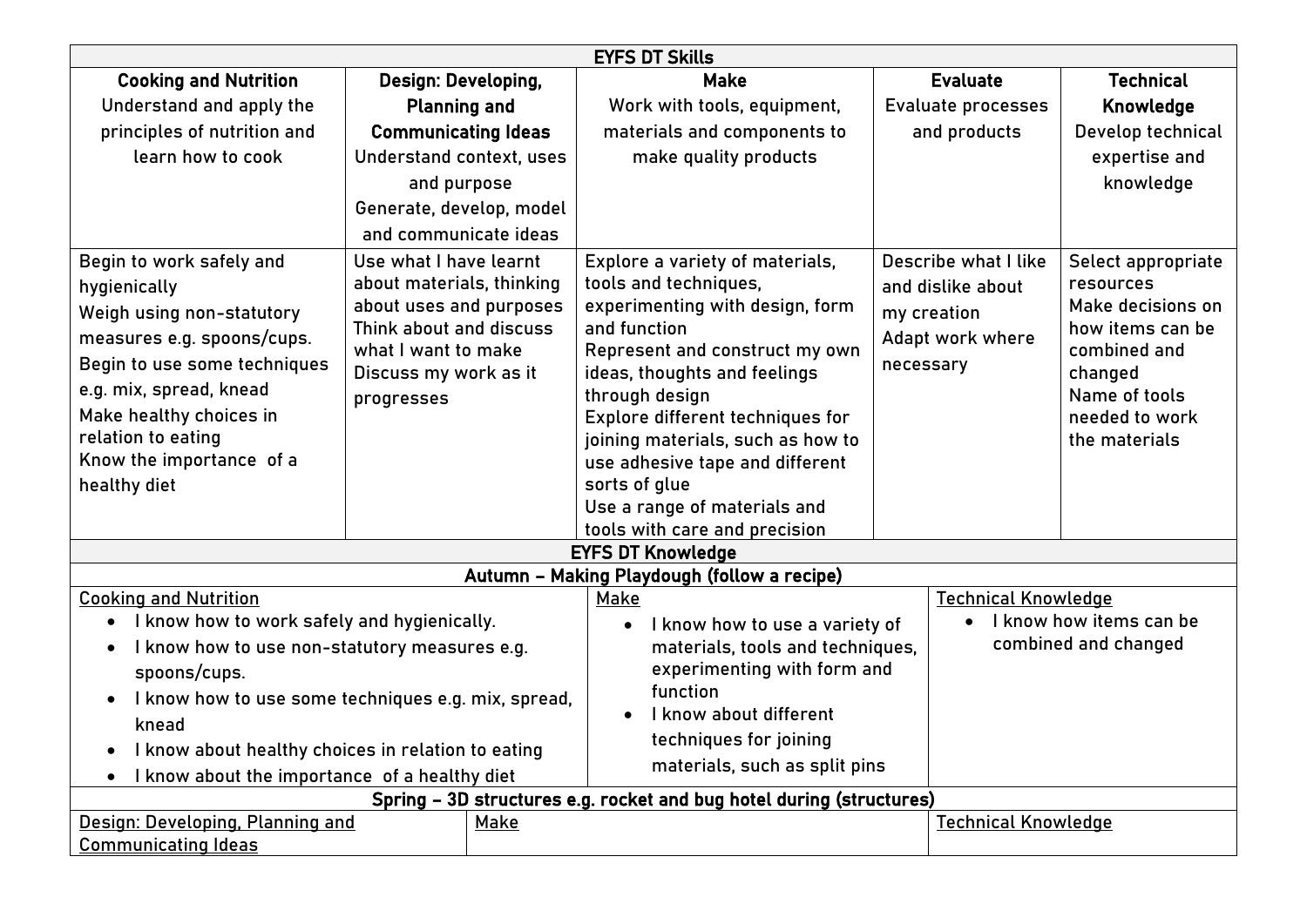| <b>EYFS DT Skills</b>                                                                                                                                                                                                                                                                                               |                                                                                                                                                                         |  |                                                                                                                                                                                                                                                                                                                                                              |                                                                                           |                                                                                                                                                         |  |  |  |
|---------------------------------------------------------------------------------------------------------------------------------------------------------------------------------------------------------------------------------------------------------------------------------------------------------------------|-------------------------------------------------------------------------------------------------------------------------------------------------------------------------|--|--------------------------------------------------------------------------------------------------------------------------------------------------------------------------------------------------------------------------------------------------------------------------------------------------------------------------------------------------------------|-------------------------------------------------------------------------------------------|---------------------------------------------------------------------------------------------------------------------------------------------------------|--|--|--|
| <b>Cooking and Nutrition</b>                                                                                                                                                                                                                                                                                        | Design: Developing,                                                                                                                                                     |  | <b>Make</b>                                                                                                                                                                                                                                                                                                                                                  | <b>Evaluate</b>                                                                           | <b>Technical</b>                                                                                                                                        |  |  |  |
| Understand and apply the                                                                                                                                                                                                                                                                                            | <b>Planning and</b>                                                                                                                                                     |  | Work with tools, equipment,                                                                                                                                                                                                                                                                                                                                  | Evaluate processes                                                                        | <b>Knowledge</b>                                                                                                                                        |  |  |  |
| principles of nutrition and                                                                                                                                                                                                                                                                                         | <b>Communicating Ideas</b>                                                                                                                                              |  | materials and components to                                                                                                                                                                                                                                                                                                                                  | and products                                                                              | Develop technical                                                                                                                                       |  |  |  |
| learn how to cook                                                                                                                                                                                                                                                                                                   | Understand context, uses                                                                                                                                                |  | make quality products                                                                                                                                                                                                                                                                                                                                        |                                                                                           | expertise and                                                                                                                                           |  |  |  |
|                                                                                                                                                                                                                                                                                                                     | and purpose                                                                                                                                                             |  |                                                                                                                                                                                                                                                                                                                                                              |                                                                                           | knowledge                                                                                                                                               |  |  |  |
|                                                                                                                                                                                                                                                                                                                     | Generate, develop, model                                                                                                                                                |  |                                                                                                                                                                                                                                                                                                                                                              |                                                                                           |                                                                                                                                                         |  |  |  |
|                                                                                                                                                                                                                                                                                                                     | and communicate ideas                                                                                                                                                   |  |                                                                                                                                                                                                                                                                                                                                                              |                                                                                           |                                                                                                                                                         |  |  |  |
| Begin to work safely and<br>hygienically<br>Weigh using non-statutory<br>measures e.g. spoons/cups.<br>Begin to use some techniques<br>e.g. mix, spread, knead<br>Make healthy choices in<br>relation to eating<br>Know the importance of a<br>healthy diet                                                         | Use what I have learnt<br>about materials, thinking<br>about uses and purposes<br>Think about and discuss<br>what I want to make<br>Discuss my work as it<br>progresses |  | Explore a variety of materials,<br>tools and techniques,<br>experimenting with design, form<br>and function<br>Represent and construct my own<br>ideas, thoughts and feelings<br>through design<br>Explore different techniques for<br>joining materials, such as how to<br>use adhesive tape and different<br>sorts of glue<br>Use a range of materials and | Describe what I like<br>and dislike about<br>my creation<br>Adapt work where<br>necessary | Select appropriate<br>resources<br>Make decisions on<br>how items can be<br>combined and<br>changed<br>Name of tools<br>needed to work<br>the materials |  |  |  |
|                                                                                                                                                                                                                                                                                                                     |                                                                                                                                                                         |  | tools with care and precision                                                                                                                                                                                                                                                                                                                                |                                                                                           |                                                                                                                                                         |  |  |  |
| <b>EYFS DT Knowledge</b>                                                                                                                                                                                                                                                                                            |                                                                                                                                                                         |  |                                                                                                                                                                                                                                                                                                                                                              |                                                                                           |                                                                                                                                                         |  |  |  |
|                                                                                                                                                                                                                                                                                                                     |                                                                                                                                                                         |  | Autumn - Making Playdough (follow a recipe)                                                                                                                                                                                                                                                                                                                  |                                                                                           |                                                                                                                                                         |  |  |  |
| <b>Cooking and Nutrition</b><br>I know how to work safely and hygienically.<br>I know how to use non-statutory measures e.g.<br>spoons/cups.<br>I know how to use some techniques e.g. mix, spread,<br>knead<br>I know about healthy choices in relation to eating<br>I know about the importance of a healthy diet |                                                                                                                                                                         |  | <b>Make</b><br>I know how to use a variety of<br>materials, tools and techniques,<br>experimenting with form and<br>function<br>I know about different<br>techniques for joining<br>materials, such as split pins                                                                                                                                            |                                                                                           | <b>Technical Knowledge</b><br>I know how items can be<br>combined and changed                                                                           |  |  |  |
| Spring - 3D structures e.g. rocket and bug hotel during (structures)                                                                                                                                                                                                                                                |                                                                                                                                                                         |  |                                                                                                                                                                                                                                                                                                                                                              |                                                                                           |                                                                                                                                                         |  |  |  |
| Design: Developing, Planning and<br><b>Communicating Ideas</b>                                                                                                                                                                                                                                                      | Make                                                                                                                                                                    |  |                                                                                                                                                                                                                                                                                                                                                              | <b>Technical Knowledge</b>                                                                |                                                                                                                                                         |  |  |  |